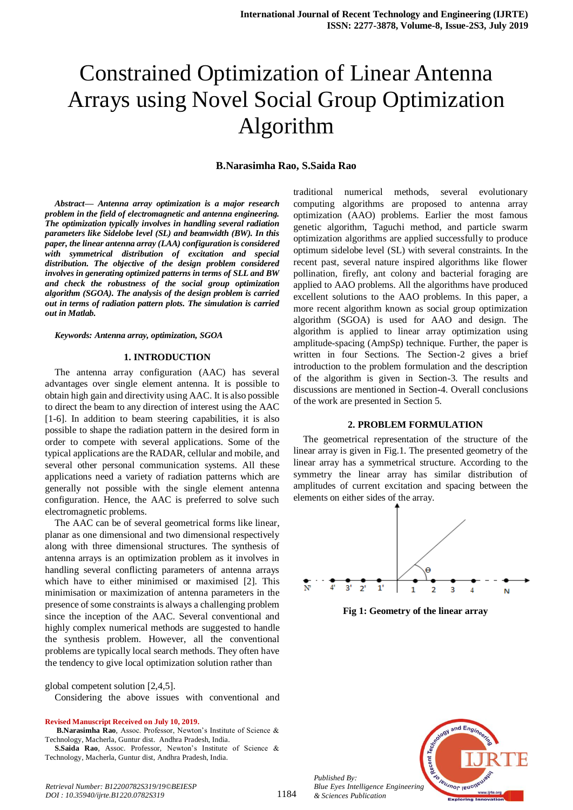# Constrained Optimization of Linear Antenna Arrays using Novel Social Group Optimization Algorithm

#### **B.Narasimha Rao, S.Saida Rao**

*Abstract***—** *Antenna array optimization is a major research problem in the field of electromagnetic and antenna engineering. The optimization typically involves in handling several radiation parameters like Sidelobe level (SL) and beamwidth (BW). In this paper, the linear antenna array (LAA) configuration is considered with symmetrical distribution of excitation and special distribution. The objective of the design problem considered involves in generating optimized patterns in terms of SLL and BW and check the robustness of the social group optimization algorithm (SGOA). The analysis of the design problem is carried out in terms of radiation pattern plots. The simulation is carried out in Matlab.*

*Keywords: Antenna array, optimization, SGOA*

### **1. INTRODUCTION**

The antenna array configuration (AAC) has several advantages over single element antenna. It is possible to obtain high gain and directivity using AAC. It is also possible to direct the beam to any direction of interest using the AAC [1-6]. In addition to beam steering capabilities, it is also possible to shape the radiation pattern in the desired form in order to compete with several applications. Some of the typical applications are the RADAR, cellular and mobile, and several other personal communication systems. All these applications need a variety of radiation patterns which are generally not possible with the single element antenna configuration. Hence, the AAC is preferred to solve such electromagnetic problems.

The AAC can be of several geometrical forms like linear, planar as one dimensional and two dimensional respectively along with three dimensional structures. The synthesis of antenna arrays is an optimization problem as it involves in handling several conflicting parameters of antenna arrays which have to either minimised or maximised [2]. This minimisation or maximization of antenna parameters in the presence of some constraints is always a challenging problem since the inception of the AAC. Several conventional and highly complex numerical methods are suggested to handle the synthesis problem. However, all the conventional problems are typically local search methods. They often have the tendency to give local optimization solution rather than

global competent solution [2,4,5].

Considering the above issues with conventional and

**Revised Manuscript Received on July 10, 2019.**

**S.Saida Rao**, Assoc. Professor, Newton's Institute of Science & Technology, Macherla, Guntur dist, Andhra Pradesh, India.

traditional numerical methods, several evolutionary computing algorithms are proposed to antenna array optimization (AAO) problems. Earlier the most famous genetic algorithm, Taguchi method, and particle swarm optimization algorithms are applied successfully to produce optimum sidelobe level (SL) with several constraints. In the recent past, several nature inspired algorithms like flower pollination, firefly, ant colony and bacterial foraging are applied to AAO problems. All the algorithms have produced excellent solutions to the AAO problems. In this paper, a more recent algorithm known as social group optimization algorithm (SGOA) is used for AAO and design. The algorithm is applied to linear array optimization using amplitude-spacing (AmpSp) technique. Further, the paper is written in four Sections. The Section-2 gives a brief introduction to the problem formulation and the description of the algorithm is given in Section-3. The results and discussions are mentioned in Section-4. Overall conclusions of the work are presented in Section 5.

#### **2. PROBLEM FORMULATION**

The geometrical representation of the structure of the linear array is given in Fig.1. The presented geometry of the linear array has a symmetrical structure. According to the symmetry the linear array has similar distribution of amplitudes of current excitation and spacing between the elements on either sides of the array.



**Fig 1: Geometry of the linear array**



*Published By: Blue Eyes Intelligence Engineering & Sciences Publication* 

**B.Narasimha Rao**, Assoc. Professor, Newton's Institute of Science & Technology, Macherla, Guntur dist. Andhra Pradesh, India.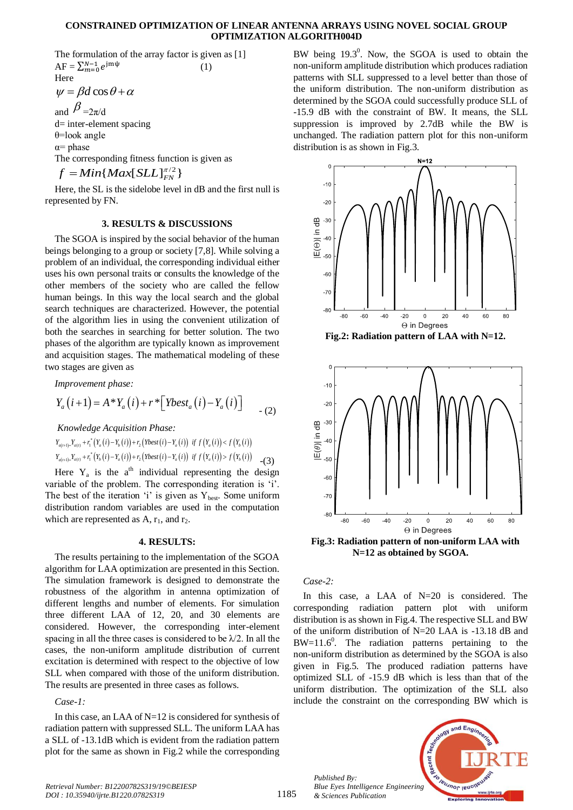#### **CONSTRAINED OPTIMIZATION OF LINEAR ANTENNA ARRAYS USING NOVEL SOCIAL GROUP OPTIMIZATION ALGORITH004D**

The formulation of the array factor is given as [1]  $AF = \sum_{m=1}^{N}$ (1) Here

$$
\psi = \beta d \cos \theta + \alpha
$$

and  $\beta_{=2\pi/d}$ 

d= inter-element spacing θ=look angle  $\alpha$ = phase

The corresponding fitness function is given as

 $f = Min\{Max[SLL]_{FN}^{π/2}\}$ 

Here, the SL is the sidelobe level in dB and the first null is represented by FN.

### **3. RESULTS & DISCUSSIONS**

The SGOA is inspired by the social behavior of the human beings belonging to a group or society [7,8]. While solving a problem of an individual, the corresponding individual either uses his own personal traits or consults the knowledge of the other members of the society who are called the fellow human beings. In this way the local search and the global search techniques are characterized. However, the potential of the algorithm lies in using the convenient utilization of both the searches in searching for better solution. The two phases of the algorithm are typically known as improvement and acquisition stages. The mathematical modeling of these two stages are given as

Improvement phase:  
\n
$$
Y_a(i+1) = A * Y_a(i) + r * [Ybest_a(i) - Y_a(i)]
$$
 (2)

*Knowledge Acquisition Phase:*  
\n
$$
Y_{a(t+1)=Y_{a(t)}+r_1^*}(Y_a(i)-Y_b(i))+r_2(Ybest(i)-Y_a(i)) \text{ if } f(Y_a(i)) < f(Y_b(i))
$$
\n
$$
Y_{a(t+1)=Y_{a(t)}+r_1^*}(Y_b(i)-Y_a(i))+r_2(Ybest(i)-Y_a(i)) \text{ if } f(Y_a(i)) > f(Y_b(i))
$$
\n
$$
-(3)
$$

Here  $Y_a$  is the a<sup>th</sup> individual representing the design variable of the problem. The corresponding iteration is 'i'. The best of the iteration 'i' is given as  $Y_{best}$ . Some uniform distribution random variables are used in the computation which are represented as  $A, r_1,$  and  $r_2$ .

#### **4. RESULTS:**

The results pertaining to the implementation of the SGOA algorithm for LAA optimization are presented in this Section. The simulation framework is designed to demonstrate the robustness of the algorithm in antenna optimization of different lengths and number of elements. For simulation three different LAA of 12, 20, and 30 elements are considered. However, the corresponding inter-element spacing in all the three cases is considered to be  $\lambda/2$ . In all the cases, the non-uniform amplitude distribution of current excitation is determined with respect to the objective of low SLL when compared with those of the uniform distribution. The results are presented in three cases as follows.

#### *Case-1:*

In this case, an LAA of N=12 is considered for synthesis of radiation pattern with suppressed SLL. The uniform LAA has a SLL of -13.1dB which is evident from the radiation pattern plot for the same as shown in Fig.2 while the corresponding

BW being  $19.3^0$ . Now, the SGOA is used to obtain the non-uniform amplitude distribution which produces radiation patterns with SLL suppressed to a level better than those of the uniform distribution. The non-uniform distribution as determined by the SGOA could successfully produce SLL of -15.9 dB with the constraint of BW. It means, the SLL suppression is improved by 2.7dB while the BW is unchanged. The radiation pattern plot for this non-uniform distribution is as shown in Fig.3.



**Fig.2: Radiation pattern of LAA with N=12.**



**Fig.3: Radiation pattern of non-uniform LAA with N=12 as obtained by SGOA.**

*Case-2:*

In this case, a LAA of  $N=20$  is considered. The corresponding radiation pattern plot with uniform distribution is as shown in Fig.4. The respective SLL and BW of the uniform distribution of N=20 LAA is -13.18 dB and  $BW=11.6^0$ . The radiation patterns pertaining to the non-uniform distribution as determined by the SGOA is also given in Fig.5. The produced radiation patterns have optimized SLL of -15.9 dB which is less than that of the uniform distribution. The optimization of the SLL also include the constraint on the corresponding BW which is



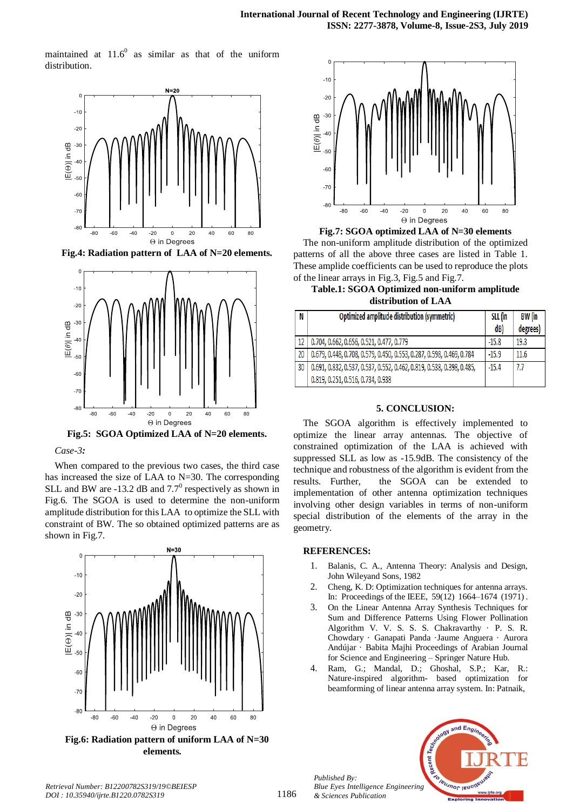maintained at  $11.6^{\circ}$ as similar as that of the uniform distribution.



**Fig.4: Radiation pattern of LAA of N=20 elements.**



**Fig.5: SGOA Optimized LAA of N=20 elements.**

#### *Case-3:*

When compared to the previous two cases, the third case has increased the size of LAA to N=30. The corresponding SLL and BW are -13.2 dB and  $7.7^{\circ}$  respectively as shown in Fig.6. The SGOA is used to determine the non-uniform amplitude distribution for this LAA to optimize the SLL with constraint of BW. The so obtained optimized patterns are as shown in Fig.7.







**Table.1: SGOA Optimized non-uniform amplitude distribution of LAA**

| N  | Optimized amplitude distribution (symmetric)                          | SLL (in | BW (in   |
|----|-----------------------------------------------------------------------|---------|----------|
|    |                                                                       | dB)     | degrees) |
| 12 | 0.704, 0.662, 0.656, 0.521, 0.477, 0.779                              | $-15.8$ | 19.3     |
| 20 | 0.679, 0.448, 0.708, 0.579, 0.450, 0.553, 0.287, 0.598, 0.469, 0.784  | $-15.9$ | 11.6     |
| 30 | 0.691, 0.832, 0.537, 0.537, 0.552, 0.462, 0.819, 0.538, 0.398, 0.485, | $-15.4$ | 7.7      |
|    | 0.819, 0.251, 0.516, 0.734, 0.938                                     |         |          |

## **5. CONCLUSION:**

The SGOA algorithm is effectively implemented to optimize the linear array antennas. The objective of constrained optimization of the LAA is achieved with suppressed SLL as low as -15.9dB. The consistency of the technique and robustness of the algorithm is evident from the results. Further, the SGOA can be extended to implementation of other antenna optimization techniques involving other design variables in terms of non-uniform special distribution of the elements of the array in the geometry.

## **REFERENCES:**

*Published By:*

*& Sciences Publication* 

- 1. Balanis, C. A., Antenna Theory: Analysis and Design, John Wileyand Sons, 1982
- 2. Cheng, K. D: Optimization techniques for antenna arrays. In: Proceedings of the IEEE, 59(12) 1664–1674 (1971) .
- 3. On the Linear Antenna Array Synthesis Techniques for Sum and Difference Patterns Using Flower Pollination Algorithm V. V. S. S. S. Chakravarthy · P. S. R. Chowdary · Ganapati Panda ·Jaume Anguera · Aurora Andújar · Babita Majhi Proceedings of Arabian Journal for Science and Engineering – Springer Nature Hub.
- 4. Ram, G.; Mandal, D.; Ghoshal, S.P.; Kar, R.: Nature-inspired algorithm- based optimization for beamforming of linear antenna array system. In: Patnaik,



*Retrieval Number: B12200782S319/19©BEIESP DOI : 10.35940/ijrte.B1220.0782S319*